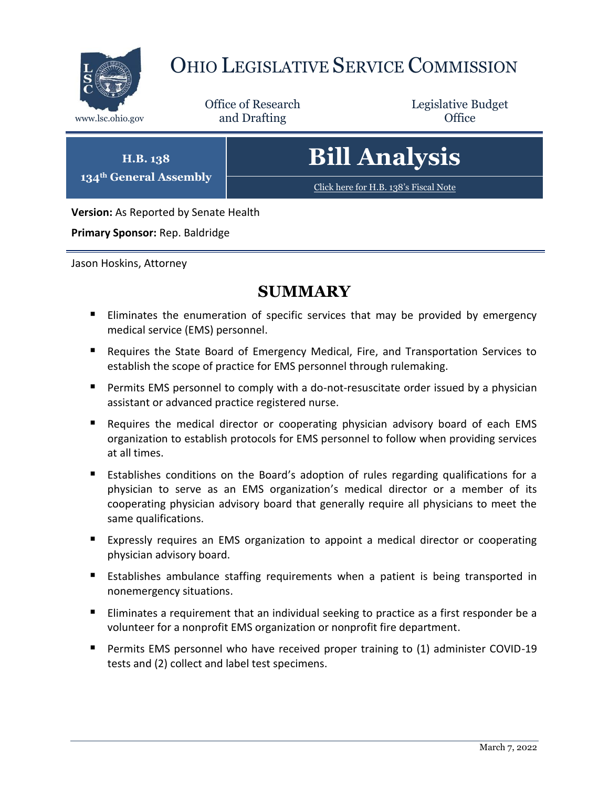

# OHIO LEGISLATIVE SERVICE COMMISSION

Office of Research www.lsc.ohio.gov **and Drafting Office** 

Legislative Budget

**H.B. 138 134th General Assembly** **Bill Analysis**

[Click here for H.B. 138](https://www.legislature.ohio.gov/legislation/legislation-documents?id=GA134-HB-138)'s Fiscal Note

**Version:** As Reported by Senate Health

**Primary Sponsor:** Rep. Baldridge

Jason Hoskins, Attorney

## **SUMMARY**

- **Eliminates the enumeration of specific services that may be provided by emergency** medical service (EMS) personnel.
- Requires the State Board of Emergency Medical, Fire, and Transportation Services to establish the scope of practice for EMS personnel through rulemaking.
- **Permits EMS personnel to comply with a do-not-resuscitate order issued by a physician** assistant or advanced practice registered nurse.
- Requires the medical director or cooperating physician advisory board of each EMS organization to establish protocols for EMS personnel to follow when providing services at all times.
- Establishes conditions on the Board's adoption of rules regarding qualifications for a physician to serve as an EMS organization's medical director or a member of its cooperating physician advisory board that generally require all physicians to meet the same qualifications.
- **Expressly requires an EMS organization to appoint a medical director or cooperating** physician advisory board.
- Establishes ambulance staffing requirements when a patient is being transported in nonemergency situations.
- **Eliminates a requirement that an individual seeking to practice as a first responder be a** volunteer for a nonprofit EMS organization or nonprofit fire department.
- Permits EMS personnel who have received proper training to (1) administer COVID-19 tests and (2) collect and label test specimens.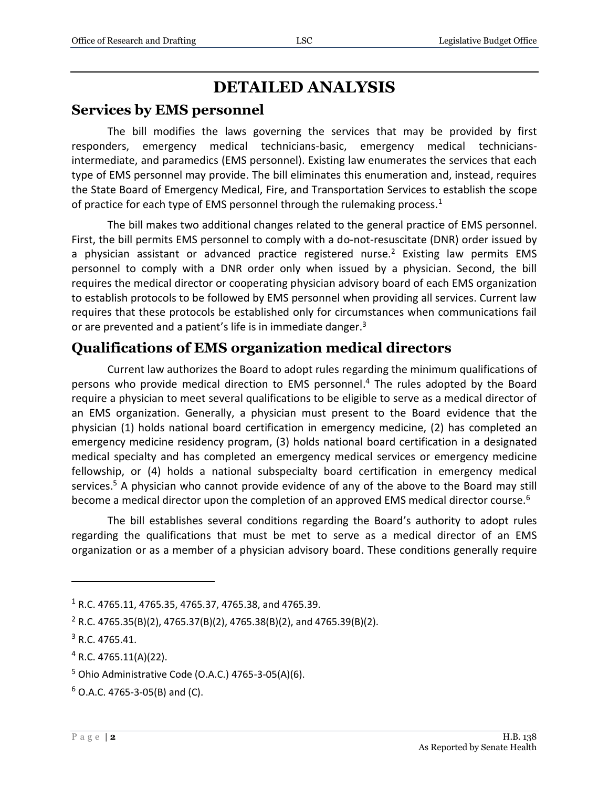## **DETAILED ANALYSIS**

#### **Services by EMS personnel**

The bill modifies the laws governing the services that may be provided by first responders, emergency medical technicians-basic, emergency medical techniciansintermediate, and paramedics (EMS personnel). Existing law enumerates the services that each type of EMS personnel may provide. The bill eliminates this enumeration and, instead, requires the State Board of Emergency Medical, Fire, and Transportation Services to establish the scope of practice for each type of EMS personnel through the rulemaking process.<sup>1</sup>

The bill makes two additional changes related to the general practice of EMS personnel. First, the bill permits EMS personnel to comply with a do-not-resuscitate (DNR) order issued by a physician assistant or advanced practice registered nurse.<sup>2</sup> Existing law permits EMS personnel to comply with a DNR order only when issued by a physician. Second, the bill requires the medical director or cooperating physician advisory board of each EMS organization to establish protocols to be followed by EMS personnel when providing all services. Current law requires that these protocols be established only for circumstances when communications fail or are prevented and a patient's life is in immediate danger.<sup>3</sup>

#### **Qualifications of EMS organization medical directors**

Current law authorizes the Board to adopt rules regarding the minimum qualifications of persons who provide medical direction to EMS personnel. <sup>4</sup> The rules adopted by the Board require a physician to meet several qualifications to be eligible to serve as a medical director of an EMS organization. Generally, a physician must present to the Board evidence that the physician (1) holds national board certification in emergency medicine, (2) has completed an emergency medicine residency program, (3) holds national board certification in a designated medical specialty and has completed an emergency medical services or emergency medicine fellowship, or (4) holds a national subspecialty board certification in emergency medical services.<sup>5</sup> A physician who cannot provide evidence of any of the above to the Board may still become a medical director upon the completion of an approved EMS medical director course.<sup>6</sup>

The bill establishes several conditions regarding the Board's authority to adopt rules regarding the qualifications that must be met to serve as a medical director of an EMS organization or as a member of a physician advisory board. These conditions generally require

 $\overline{a}$ 

<sup>1</sup> R.C. 4765.11, 4765.35, 4765.37, 4765.38, and 4765.39.

<sup>2</sup> R.C. 4765.35(B)(2), 4765.37(B)(2), 4765.38(B)(2), and 4765.39(B)(2).

<sup>3</sup> R.C. 4765.41.

 $4$  R.C. 4765.11(A)(22).

<sup>5</sup> Ohio Administrative Code (O.A.C.) 4765-3-05(A)(6).

 $6$  O.A.C. 4765-3-05(B) and (C).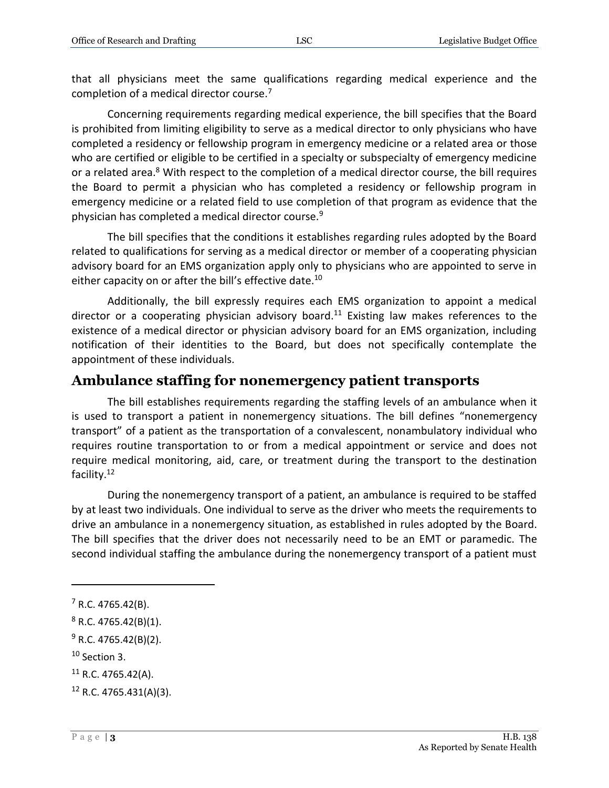that all physicians meet the same qualifications regarding medical experience and the completion of a medical director course.<sup>7</sup>

Concerning requirements regarding medical experience, the bill specifies that the Board is prohibited from limiting eligibility to serve as a medical director to only physicians who have completed a residency or fellowship program in emergency medicine or a related area or those who are certified or eligible to be certified in a specialty or subspecialty of emergency medicine or a related area.<sup>8</sup> With respect to the completion of a medical director course, the bill requires the Board to permit a physician who has completed a residency or fellowship program in emergency medicine or a related field to use completion of that program as evidence that the physician has completed a medical director course.<sup>9</sup>

The bill specifies that the conditions it establishes regarding rules adopted by the Board related to qualifications for serving as a medical director or member of a cooperating physician advisory board for an EMS organization apply only to physicians who are appointed to serve in either capacity on or after the bill's effective date.<sup>10</sup>

Additionally, the bill expressly requires each EMS organization to appoint a medical director or a cooperating physician advisory board.<sup>11</sup> Existing law makes references to the existence of a medical director or physician advisory board for an EMS organization, including notification of their identities to the Board, but does not specifically contemplate the appointment of these individuals.

#### **Ambulance staffing for nonemergency patient transports**

The bill establishes requirements regarding the staffing levels of an ambulance when it is used to transport a patient in nonemergency situations. The bill defines "nonemergency transport" of a patient as the transportation of a convalescent, nonambulatory individual who requires routine transportation to or from a medical appointment or service and does not require medical monitoring, aid, care, or treatment during the transport to the destination facility.<sup>12</sup>

During the nonemergency transport of a patient, an ambulance is required to be staffed by at least two individuals. One individual to serve as the driver who meets the requirements to drive an ambulance in a nonemergency situation, as established in rules adopted by the Board. The bill specifies that the driver does not necessarily need to be an EMT or paramedic. The second individual staffing the ambulance during the nonemergency transport of a patient must

 $\overline{a}$ 

<sup>7</sup> R.C. 4765.42(B).

 $8$  R.C. 4765.42(B)(1).

 $9$  R.C. 4765.42(B)(2).

 $10$  Section 3.

 $11$  R.C. 4765.42(A).

 $12$  R.C. 4765.431(A)(3).